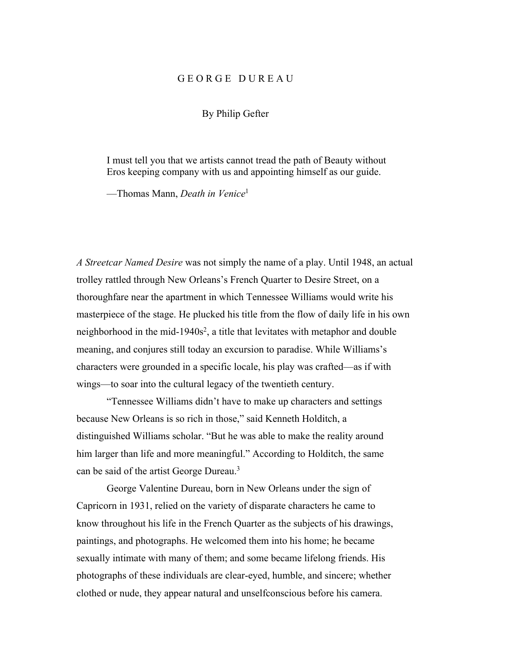# G E O R G E D U R E A U

## By Philip Gefter

I must tell you that we artists cannot tread the path of Beauty without Eros keeping company with us and appointing himself as our guide.

—Thomas Mann, *Death in Venice*<sup>1</sup>

*A Streetcar Named Desire* was not simply the name of a play. Until 1948, an actual trolley rattled through New Orleans's French Quarter to Desire Street, on a thoroughfare near the apartment in which Tennessee Williams would write his masterpiece of the stage. He plucked his title from the flow of daily life in his own neighborhood in the mid-1940s<sup>2</sup>, a title that levitates with metaphor and double meaning, and conjures still today an excursion to paradise. While Williams's characters were grounded in a specific locale, his play was crafted—as if with wings—to soar into the cultural legacy of the twentieth century.

"Tennessee Williams didn't have to make up characters and settings because New Orleans is so rich in those," said Kenneth Holditch, a distinguished Williams scholar. "But he was able to make the reality around him larger than life and more meaningful." According to Holditch, the same can be said of the artist George Dureau.<sup>3</sup>

George Valentine Dureau, born in New Orleans under the sign of Capricorn in 1931, relied on the variety of disparate characters he came to know throughout his life in the French Quarter as the subjects of his drawings, paintings, and photographs. He welcomed them into his home; he became sexually intimate with many of them; and some became lifelong friends. His photographs of these individuals are clear-eyed, humble, and sincere; whether clothed or nude, they appear natural and unselfconscious before his camera.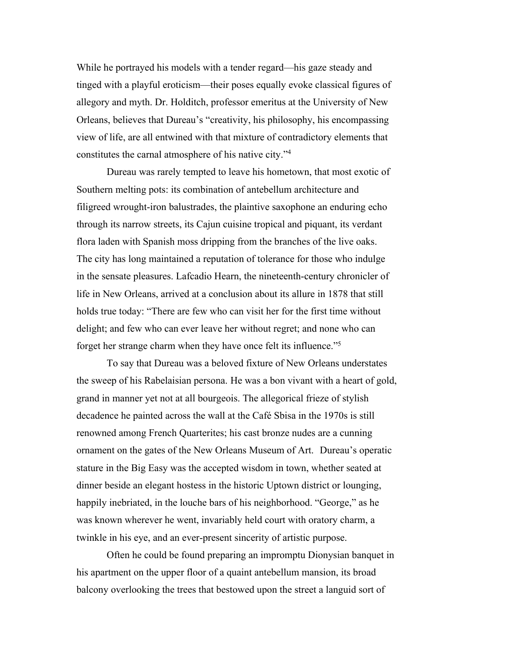While he portrayed his models with a tender regard—his gaze steady and tinged with a playful eroticism—their poses equally evoke classical figures of allegory and myth. Dr. Holditch, professor emeritus at the University of New Orleans, believes that Dureau's "creativity, his philosophy, his encompassing view of life, are all entwined with that mixture of contradictory elements that constitutes the carnal atmosphere of his native city."4

Dureau was rarely tempted to leave his hometown, that most exotic of Southern melting pots: its combination of antebellum architecture and filigreed wrought-iron balustrades, the plaintive saxophone an enduring echo through its narrow streets, its Cajun cuisine tropical and piquant, its verdant flora laden with Spanish moss dripping from the branches of the live oaks. The city has long maintained a reputation of tolerance for those who indulge in the sensate pleasures. Lafcadio Hearn, the nineteenth-century chronicler of life in New Orleans, arrived at a conclusion about its allure in 1878 that still holds true today: "There are few who can visit her for the first time without delight; and few who can ever leave her without regret; and none who can forget her strange charm when they have once felt its influence."5

To say that Dureau was a beloved fixture of New Orleans understates the sweep of his Rabelaisian persona. He was a bon vivant with a heart of gold, grand in manner yet not at all bourgeois. The allegorical frieze of stylish decadence he painted across the wall at the Café Sbisa in the 1970s is still renowned among French Quarterites; his cast bronze nudes are a cunning ornament on the gates of the New Orleans Museum of Art. Dureau's operatic stature in the Big Easy was the accepted wisdom in town, whether seated at dinner beside an elegant hostess in the historic Uptown district or lounging, happily inebriated, in the louche bars of his neighborhood. "George," as he was known wherever he went, invariably held court with oratory charm, a twinkle in his eye, and an ever-present sincerity of artistic purpose.

Often he could be found preparing an impromptu Dionysian banquet in his apartment on the upper floor of a quaint antebellum mansion, its broad balcony overlooking the trees that bestowed upon the street a languid sort of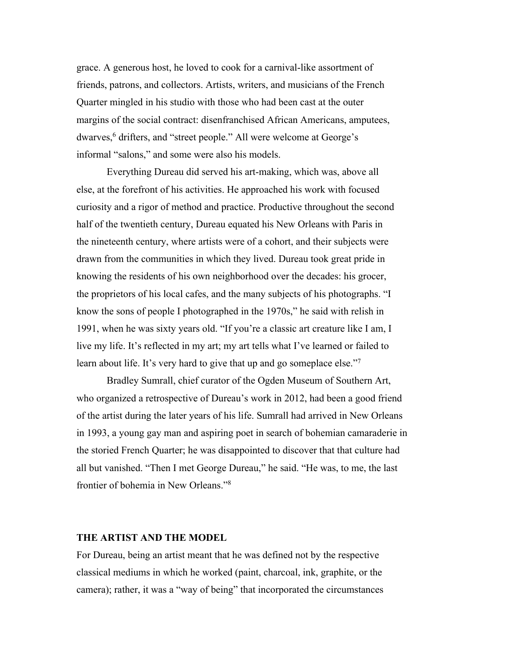grace. A generous host, he loved to cook for a carnival-like assortment of friends, patrons, and collectors. Artists, writers, and musicians of the French Quarter mingled in his studio with those who had been cast at the outer margins of the social contract: disenfranchised African Americans, amputees, dwarves,<sup>6</sup> drifters, and "street people." All were welcome at George's informal "salons," and some were also his models.

Everything Dureau did served his art-making, which was, above all else, at the forefront of his activities. He approached his work with focused curiosity and a rigor of method and practice. Productive throughout the second half of the twentieth century, Dureau equated his New Orleans with Paris in the nineteenth century, where artists were of a cohort, and their subjects were drawn from the communities in which they lived. Dureau took great pride in knowing the residents of his own neighborhood over the decades: his grocer, the proprietors of his local cafes, and the many subjects of his photographs. "I know the sons of people I photographed in the 1970s," he said with relish in 1991, when he was sixty years old. "If you're a classic art creature like I am, I live my life. It's reflected in my art; my art tells what I've learned or failed to learn about life. It's very hard to give that up and go someplace else."<sup>7</sup>

Bradley Sumrall, chief curator of the Ogden Museum of Southern Art, who organized a retrospective of Dureau's work in 2012, had been a good friend of the artist during the later years of his life. Sumrall had arrived in New Orleans in 1993, a young gay man and aspiring poet in search of bohemian camaraderie in the storied French Quarter; he was disappointed to discover that that culture had all but vanished. "Then I met George Dureau," he said. "He was, to me, the last frontier of bohemia in New Orleans."8

## **THE ARTIST AND THE MODEL**

For Dureau, being an artist meant that he was defined not by the respective classical mediums in which he worked (paint, charcoal, ink, graphite, or the camera); rather, it was a "way of being" that incorporated the circumstances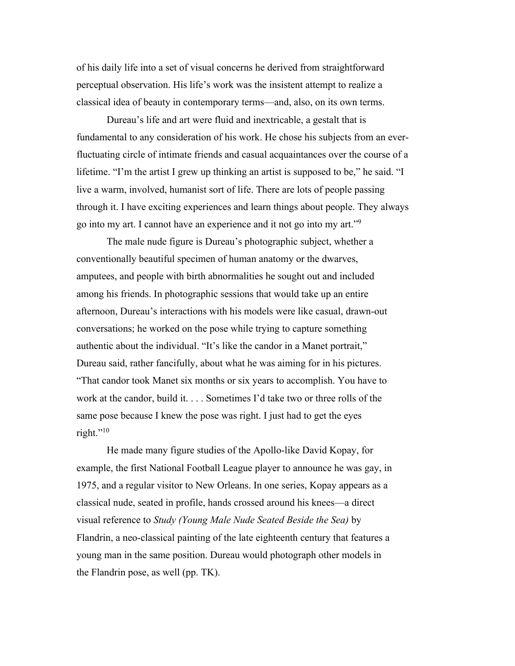of his daily life into a set of visual concerns he derived from straightforward perceptual observation. His life's work was the insistent attempt to realize a classical idea of beauty in contemporary terms—and, also, on its own terms.

Dureau's life and art were fluid and inextricable, a gestalt that is fundamental to any consideration of his work. He chose his subjects from an everfluctuating circle of intimate friends and casual acquaintances over the course of a lifetime. "I'm the artist I grew up thinking an artist is supposed to be," he said. "I live a warm, involved, humanist sort of life. There are lots of people passing through it. I have exciting experiences and learn things about people. They always go into my art. I cannot have an experience and it not go into my art."9

The male nude figure is Dureau's photographic subject, whether a conventionally beautiful specimen of human anatomy or the dwarves, amputees, and people with birth abnormalities he sought out and included among his friends. In photographic sessions that would take up an entire afternoon, Dureau's interactions with his models were like casual, drawn-out conversations; he worked on the pose while trying to capture something authentic about the individual. "It's like the candor in a Manet portrait," Dureau said, rather fancifully, about what he was aiming for in his pictures. "That candor took Manet six months or six years to accomplish. You have to work at the candor, build it. . . . Sometimes I'd take two or three rolls of the same pose because I knew the pose was right. I just had to get the eyes right."<sup>10</sup>

He made many figure studies of the Apollo-like David Kopay, for example, the first National Football League player to announce he was gay, in 1975, and a regular visitor to New Orleans. In one series, Kopay appears as a classical nude, seated in profile, hands crossed around his knees—a direct visual reference to *Study (Young Male Nude Seated Beside the Sea)* by Flandrin, a neo-classical painting of the late eighteenth century that features a young man in the same position. Dureau would photograph other models in the Flandrin pose, as well (pp. TK).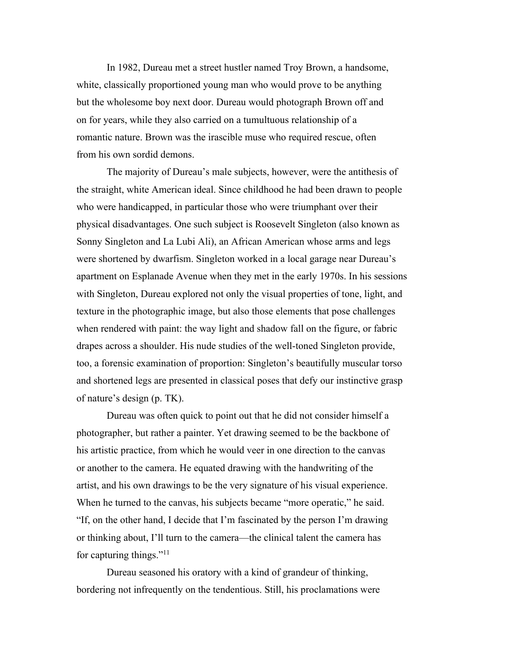In 1982, Dureau met a street hustler named Troy Brown, a handsome, white, classically proportioned young man who would prove to be anything but the wholesome boy next door. Dureau would photograph Brown off and on for years, while they also carried on a tumultuous relationship of a romantic nature. Brown was the irascible muse who required rescue, often from his own sordid demons.

The majority of Dureau's male subjects, however, were the antithesis of the straight, white American ideal. Since childhood he had been drawn to people who were handicapped, in particular those who were triumphant over their physical disadvantages. One such subject is Roosevelt Singleton (also known as Sonny Singleton and La Lubi Ali), an African American whose arms and legs were shortened by dwarfism. Singleton worked in a local garage near Dureau's apartment on Esplanade Avenue when they met in the early 1970s. In his sessions with Singleton, Dureau explored not only the visual properties of tone, light, and texture in the photographic image, but also those elements that pose challenges when rendered with paint: the way light and shadow fall on the figure, or fabric drapes across a shoulder. His nude studies of the well-toned Singleton provide, too, a forensic examination of proportion: Singleton's beautifully muscular torso and shortened legs are presented in classical poses that defy our instinctive grasp of nature's design (p. TK).

Dureau was often quick to point out that he did not consider himself a photographer, but rather a painter. Yet drawing seemed to be the backbone of his artistic practice, from which he would veer in one direction to the canvas or another to the camera. He equated drawing with the handwriting of the artist, and his own drawings to be the very signature of his visual experience. When he turned to the canvas, his subjects became "more operatic," he said. "If, on the other hand, I decide that I'm fascinated by the person I'm drawing or thinking about, I'll turn to the camera—the clinical talent the camera has for capturing things."<sup>11</sup>

Dureau seasoned his oratory with a kind of grandeur of thinking, bordering not infrequently on the tendentious. Still, his proclamations were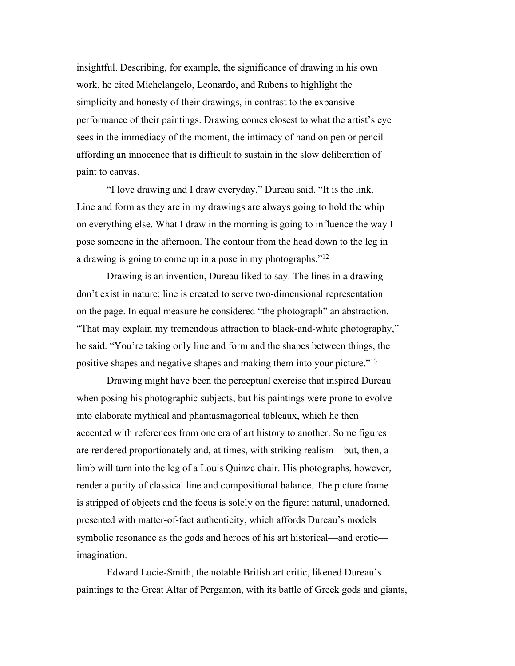insightful. Describing, for example, the significance of drawing in his own work, he cited Michelangelo, Leonardo, and Rubens to highlight the simplicity and honesty of their drawings, in contrast to the expansive performance of their paintings. Drawing comes closest to what the artist's eye sees in the immediacy of the moment, the intimacy of hand on pen or pencil affording an innocence that is difficult to sustain in the slow deliberation of paint to canvas.

"I love drawing and I draw everyday," Dureau said. "It is the link. Line and form as they are in my drawings are always going to hold the whip on everything else. What I draw in the morning is going to influence the way I pose someone in the afternoon. The contour from the head down to the leg in a drawing is going to come up in a pose in my photographs."12

Drawing is an invention, Dureau liked to say. The lines in a drawing don't exist in nature; line is created to serve two-dimensional representation on the page. In equal measure he considered "the photograph" an abstraction. "That may explain my tremendous attraction to black-and-white photography," he said. "You're taking only line and form and the shapes between things, the positive shapes and negative shapes and making them into your picture."13

Drawing might have been the perceptual exercise that inspired Dureau when posing his photographic subjects, but his paintings were prone to evolve into elaborate mythical and phantasmagorical tableaux, which he then accented with references from one era of art history to another. Some figures are rendered proportionately and, at times, with striking realism—but, then, a limb will turn into the leg of a Louis Quinze chair. His photographs, however, render a purity of classical line and compositional balance. The picture frame is stripped of objects and the focus is solely on the figure: natural, unadorned, presented with matter-of-fact authenticity, which affords Dureau's models symbolic resonance as the gods and heroes of his art historical—and erotic imagination.

Edward Lucie-Smith, the notable British art critic, likened Dureau's paintings to the Great Altar of Pergamon, with its battle of Greek gods and giants,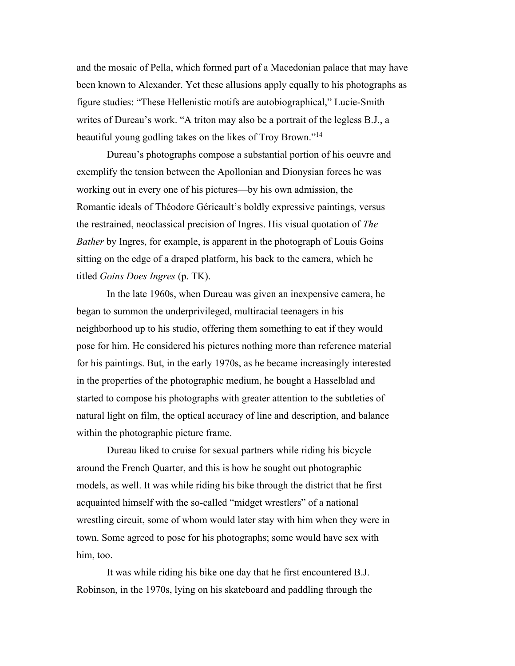and the mosaic of Pella, which formed part of a Macedonian palace that may have been known to Alexander. Yet these allusions apply equally to his photographs as figure studies: "These Hellenistic motifs are autobiographical," Lucie-Smith writes of Dureau's work. "A triton may also be a portrait of the legless B.J., a beautiful young godling takes on the likes of Troy Brown."14

Dureau's photographs compose a substantial portion of his oeuvre and exemplify the tension between the Apollonian and Dionysian forces he was working out in every one of his pictures—by his own admission, the Romantic ideals of Théodore Géricault's boldly expressive paintings, versus the restrained, neoclassical precision of Ingres. His visual quotation of *The Bather* by Ingres, for example, is apparent in the photograph of Louis Goins sitting on the edge of a draped platform, his back to the camera, which he titled *Goins Does Ingres* (p. TK).

In the late 1960s, when Dureau was given an inexpensive camera, he began to summon the underprivileged, multiracial teenagers in his neighborhood up to his studio, offering them something to eat if they would pose for him. He considered his pictures nothing more than reference material for his paintings. But, in the early 1970s, as he became increasingly interested in the properties of the photographic medium, he bought a Hasselblad and started to compose his photographs with greater attention to the subtleties of natural light on film, the optical accuracy of line and description, and balance within the photographic picture frame.

Dureau liked to cruise for sexual partners while riding his bicycle around the French Quarter, and this is how he sought out photographic models, as well. It was while riding his bike through the district that he first acquainted himself with the so-called "midget wrestlers" of a national wrestling circuit, some of whom would later stay with him when they were in town. Some agreed to pose for his photographs; some would have sex with him, too.

It was while riding his bike one day that he first encountered B.J. Robinson, in the 1970s, lying on his skateboard and paddling through the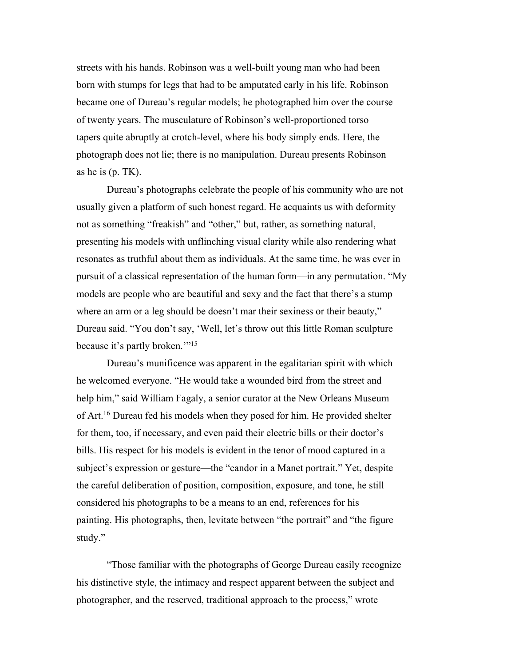streets with his hands. Robinson was a well-built young man who had been born with stumps for legs that had to be amputated early in his life. Robinson became one of Dureau's regular models; he photographed him over the course of twenty years. The musculature of Robinson's well-proportioned torso tapers quite abruptly at crotch-level, where his body simply ends. Here, the photograph does not lie; there is no manipulation. Dureau presents Robinson as he is (p. TK).

Dureau's photographs celebrate the people of his community who are not usually given a platform of such honest regard. He acquaints us with deformity not as something "freakish" and "other," but, rather, as something natural, presenting his models with unflinching visual clarity while also rendering what resonates as truthful about them as individuals. At the same time, he was ever in pursuit of a classical representation of the human form—in any permutation. "My models are people who are beautiful and sexy and the fact that there's a stump where an arm or a leg should be doesn't mar their sexiness or their beauty," Dureau said. "You don't say, 'Well, let's throw out this little Roman sculpture because it's partly broken."<sup>15</sup>

Dureau's munificence was apparent in the egalitarian spirit with which he welcomed everyone. "He would take a wounded bird from the street and help him," said William Fagaly, a senior curator at the New Orleans Museum of Art.16 Dureau fed his models when they posed for him. He provided shelter for them, too, if necessary, and even paid their electric bills or their doctor's bills. His respect for his models is evident in the tenor of mood captured in a subject's expression or gesture—the "candor in a Manet portrait." Yet, despite the careful deliberation of position, composition, exposure, and tone, he still considered his photographs to be a means to an end, references for his painting. His photographs, then, levitate between "the portrait" and "the figure study."

"Those familiar with the photographs of George Dureau easily recognize his distinctive style, the intimacy and respect apparent between the subject and photographer, and the reserved, traditional approach to the process," wrote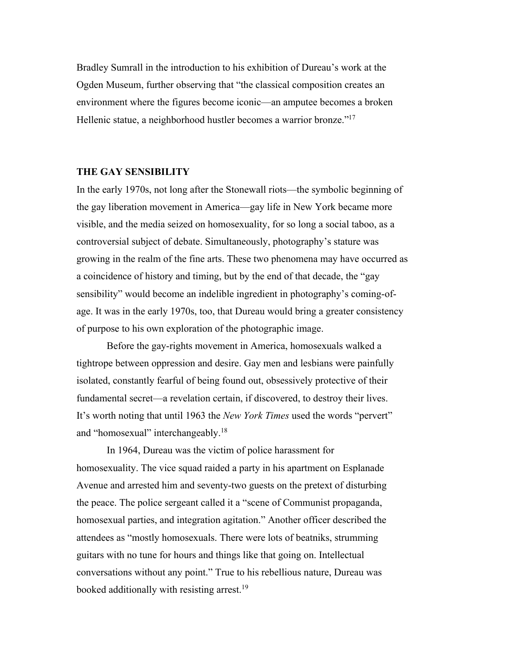Bradley Sumrall in the introduction to his exhibition of Dureau's work at the Ogden Museum, further observing that "the classical composition creates an environment where the figures become iconic—an amputee becomes a broken Hellenic statue, a neighborhood hustler becomes a warrior bronze."17

# **THE GAY SENSIBILITY**

In the early 1970s, not long after the Stonewall riots—the symbolic beginning of the gay liberation movement in America—gay life in New York became more visible, and the media seized on homosexuality, for so long a social taboo, as a controversial subject of debate. Simultaneously, photography's stature was growing in the realm of the fine arts. These two phenomena may have occurred as a coincidence of history and timing, but by the end of that decade, the "gay sensibility" would become an indelible ingredient in photography's coming-ofage. It was in the early 1970s, too, that Dureau would bring a greater consistency of purpose to his own exploration of the photographic image.

Before the gay-rights movement in America, homosexuals walked a tightrope between oppression and desire. Gay men and lesbians were painfully isolated, constantly fearful of being found out, obsessively protective of their fundamental secret—a revelation certain, if discovered, to destroy their lives. It's worth noting that until 1963 the *New York Times* used the words "pervert" and "homosexual" interchangeably.18

In 1964, Dureau was the victim of police harassment for homosexuality. The vice squad raided a party in his apartment on Esplanade Avenue and arrested him and seventy-two guests on the pretext of disturbing the peace. The police sergeant called it a "scene of Communist propaganda, homosexual parties, and integration agitation." Another officer described the attendees as "mostly homosexuals. There were lots of beatniks, strumming guitars with no tune for hours and things like that going on. Intellectual conversations without any point." True to his rebellious nature, Dureau was booked additionally with resisting arrest.<sup>19</sup>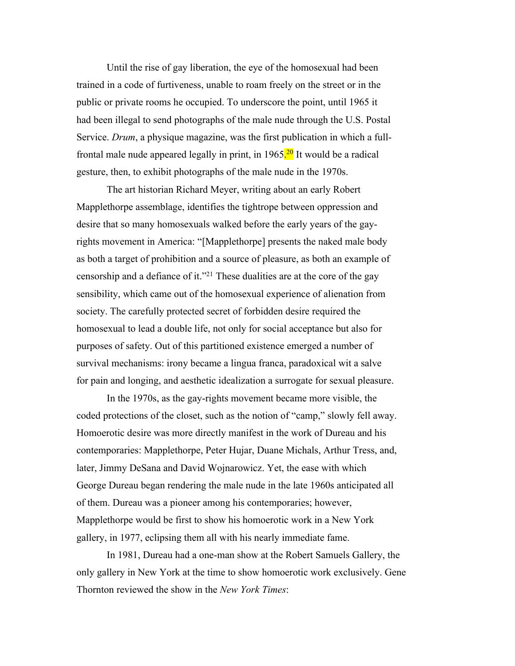Until the rise of gay liberation, the eye of the homosexual had been trained in a code of furtiveness, unable to roam freely on the street or in the public or private rooms he occupied. To underscore the point, until 1965 it had been illegal to send photographs of the male nude through the U.S. Postal Service. *Drum*, a physique magazine, was the first publication in which a fullfrontal male nude appeared legally in print, in 1965<sup>20</sup> It would be a radical gesture, then, to exhibit photographs of the male nude in the 1970s.

The art historian Richard Meyer, writing about an early Robert Mapplethorpe assemblage, identifies the tightrope between oppression and desire that so many homosexuals walked before the early years of the gayrights movement in America: "[Mapplethorpe] presents the naked male body as both a target of prohibition and a source of pleasure, as both an example of censorship and a defiance of it."21 These dualities are at the core of the gay sensibility, which came out of the homosexual experience of alienation from society. The carefully protected secret of forbidden desire required the homosexual to lead a double life, not only for social acceptance but also for purposes of safety. Out of this partitioned existence emerged a number of survival mechanisms: irony became a lingua franca, paradoxical wit a salve for pain and longing, and aesthetic idealization a surrogate for sexual pleasure.

In the 1970s, as the gay-rights movement became more visible, the coded protections of the closet, such as the notion of "camp," slowly fell away. Homoerotic desire was more directly manifest in the work of Dureau and his contemporaries: Mapplethorpe, Peter Hujar, Duane Michals, Arthur Tress, and, later, Jimmy DeSana and David Wojnarowicz. Yet, the ease with which George Dureau began rendering the male nude in the late 1960s anticipated all of them. Dureau was a pioneer among his contemporaries; however, Mapplethorpe would be first to show his homoerotic work in a New York gallery, in 1977, eclipsing them all with his nearly immediate fame.

In 1981, Dureau had a one-man show at the Robert Samuels Gallery, the only gallery in New York at the time to show homoerotic work exclusively. Gene Thornton reviewed the show in the *New York Times*: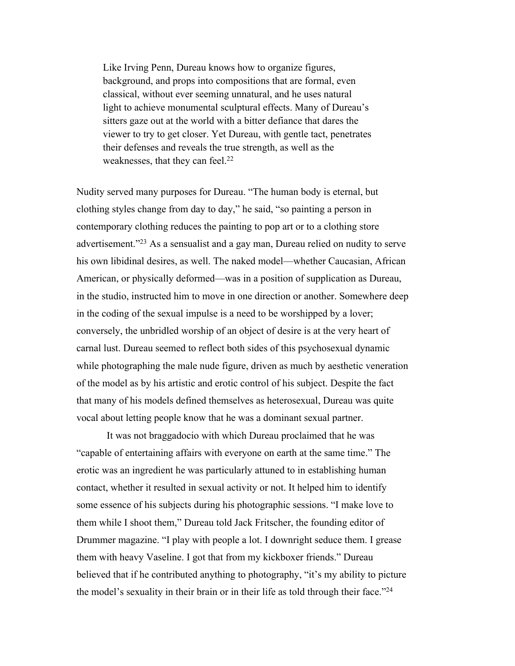Like Irving Penn, Dureau knows how to organize figures, background, and props into compositions that are formal, even classical, without ever seeming unnatural, and he uses natural light to achieve monumental sculptural effects. Many of Dureau's sitters gaze out at the world with a bitter defiance that dares the viewer to try to get closer. Yet Dureau, with gentle tact, penetrates their defenses and reveals the true strength, as well as the weaknesses, that they can feel.<sup>22</sup>

Nudity served many purposes for Dureau. "The human body is eternal, but clothing styles change from day to day," he said, "so painting a person in contemporary clothing reduces the painting to pop art or to a clothing store advertisement."23 As a sensualist and a gay man, Dureau relied on nudity to serve his own libidinal desires, as well. The naked model—whether Caucasian, African American, or physically deformed—was in a position of supplication as Dureau, in the studio, instructed him to move in one direction or another. Somewhere deep in the coding of the sexual impulse is a need to be worshipped by a lover; conversely, the unbridled worship of an object of desire is at the very heart of carnal lust. Dureau seemed to reflect both sides of this psychosexual dynamic while photographing the male nude figure, driven as much by aesthetic veneration of the model as by his artistic and erotic control of his subject. Despite the fact that many of his models defined themselves as heterosexual, Dureau was quite vocal about letting people know that he was a dominant sexual partner.

It was not braggadocio with which Dureau proclaimed that he was "capable of entertaining affairs with everyone on earth at the same time." The erotic was an ingredient he was particularly attuned to in establishing human contact, whether it resulted in sexual activity or not. It helped him to identify some essence of his subjects during his photographic sessions. "I make love to them while I shoot them," Dureau told Jack Fritscher, the founding editor of Drummer magazine. "I play with people a lot. I downright seduce them. I grease them with heavy Vaseline. I got that from my kickboxer friends." Dureau believed that if he contributed anything to photography, "it's my ability to picture the model's sexuality in their brain or in their life as told through their face."24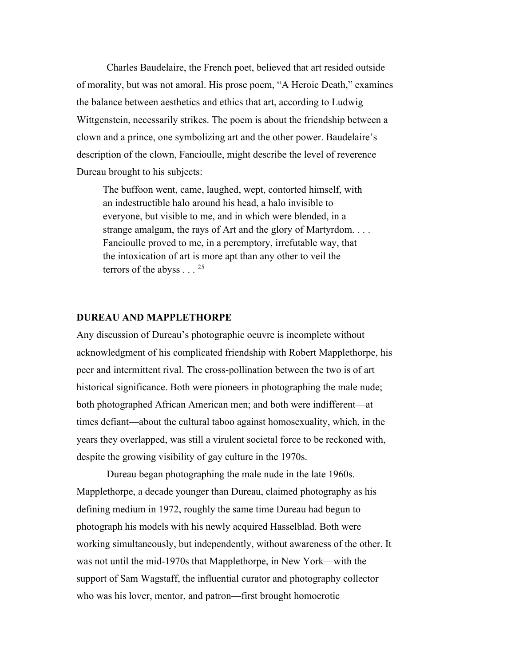Charles Baudelaire, the French poet, believed that art resided outside of morality, but was not amoral. His prose poem, "A Heroic Death," examines the balance between aesthetics and ethics that art, according to Ludwig Wittgenstein, necessarily strikes. The poem is about the friendship between a clown and a prince, one symbolizing art and the other power. Baudelaire's description of the clown, Fancioulle, might describe the level of reverence Dureau brought to his subjects:

The buffoon went, came, laughed, wept, contorted himself, with an indestructible halo around his head, a halo invisible to everyone, but visible to me, and in which were blended, in a strange amalgam, the rays of Art and the glory of Martyrdom. . . . Fancioulle proved to me, in a peremptory, irrefutable way, that the intoxication of art is more apt than any other to veil the terrors of the abyss  $\ldots$  <sup>25</sup>

### **DUREAU AND MAPPLETHORPE**

Any discussion of Dureau's photographic oeuvre is incomplete without acknowledgment of his complicated friendship with Robert Mapplethorpe, his peer and intermittent rival. The cross-pollination between the two is of art historical significance. Both were pioneers in photographing the male nude; both photographed African American men; and both were indifferent—at times defiant—about the cultural taboo against homosexuality, which, in the years they overlapped, was still a virulent societal force to be reckoned with, despite the growing visibility of gay culture in the 1970s.

Dureau began photographing the male nude in the late 1960s. Mapplethorpe, a decade younger than Dureau, claimed photography as his defining medium in 1972, roughly the same time Dureau had begun to photograph his models with his newly acquired Hasselblad. Both were working simultaneously, but independently, without awareness of the other. It was not until the mid-1970s that Mapplethorpe, in New York—with the support of Sam Wagstaff, the influential curator and photography collector who was his lover, mentor, and patron—first brought homoerotic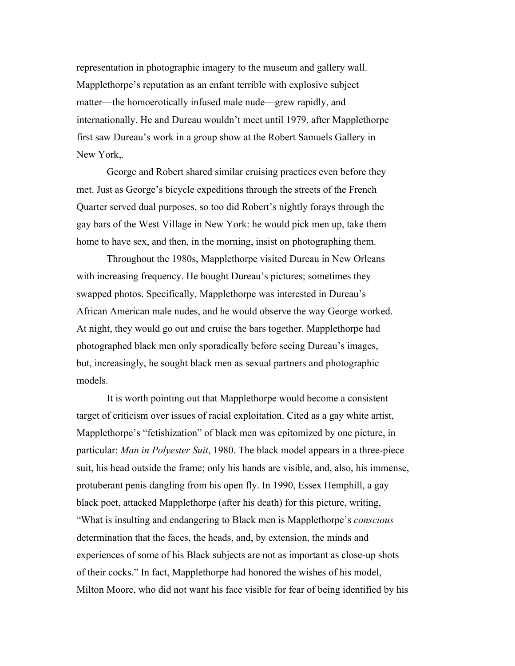representation in photographic imagery to the museum and gallery wall. Mapplethorpe's reputation as an enfant terrible with explosive subject matter—the homoerotically infused male nude—grew rapidly, and internationally. He and Dureau wouldn't meet until 1979, after Mapplethorpe first saw Dureau's work in a group show at the Robert Samuels Gallery in New York,.

George and Robert shared similar cruising practices even before they met. Just as George's bicycle expeditions through the streets of the French Quarter served dual purposes, so too did Robert's nightly forays through the gay bars of the West Village in New York: he would pick men up, take them home to have sex, and then, in the morning, insist on photographing them.

Throughout the 1980s, Mapplethorpe visited Dureau in New Orleans with increasing frequency. He bought Dureau's pictures; sometimes they swapped photos. Specifically, Mapplethorpe was interested in Dureau's African American male nudes, and he would observe the way George worked. At night, they would go out and cruise the bars together. Mapplethorpe had photographed black men only sporadically before seeing Dureau's images, but, increasingly, he sought black men as sexual partners and photographic models.

It is worth pointing out that Mapplethorpe would become a consistent target of criticism over issues of racial exploitation. Cited as a gay white artist, Mapplethorpe's "fetishization" of black men was epitomized by one picture, in particular: *Man in Polyester Suit*, 1980. The black model appears in a three-piece suit, his head outside the frame; only his hands are visible, and, also, his immense, protuberant penis dangling from his open fly. In 1990, Essex Hemphill, a gay black poet, attacked Mapplethorpe (after his death) for this picture, writing, "What is insulting and endangering to Black men is Mapplethorpe's *conscious* determination that the faces, the heads, and, by extension, the minds and experiences of some of his Black subjects are not as important as close-up shots of their cocks." In fact, Mapplethorpe had honored the wishes of his model, Milton Moore, who did not want his face visible for fear of being identified by his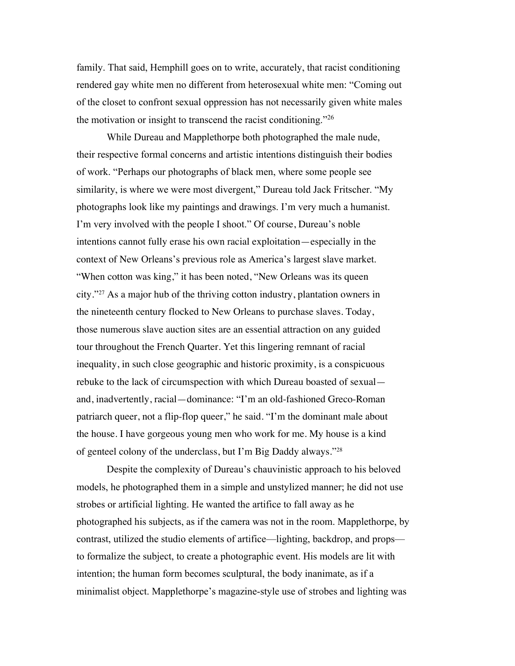family. That said, Hemphill goes on to write, accurately, that racist conditioning rendered gay white men no different from heterosexual white men: "Coming out of the closet to confront sexual oppression has not necessarily given white males the motivation or insight to transcend the racist conditioning. $126$ 

While Dureau and Mapplethorpe both photographed the male nude, their respective formal concerns and artistic intentions distinguish their bodies of work. "Perhaps our photographs of black men, where some people see similarity, is where we were most divergent," Dureau told Jack Fritscher. "My photographs look like my paintings and drawings. I'm very much a humanist. I'm very involved with the people I shoot." Of course, Dureau's noble intentions cannot fully erase his own racial exploitation—especially in the context of New Orleans's previous role as America's largest slave market. "When cotton was king," it has been noted, "New Orleans was its queen" city."27 As a major hub of the thriving cotton industry, plantation owners in the nineteenth century flocked to New Orleans to purchase slaves. Today, those numerous slave auction sites are an essential attraction on any guided tour throughout the French Quarter. Yet this lingering remnant of racial inequality, in such close geographic and historic proximity, is a conspicuous rebuke to the lack of circumspection with which Dureau boasted of sexual and, inadvertently, racial—dominance: "I'm an old-fashioned Greco-Roman patriarch queer, not a flip-flop queer," he said. "I'm the dominant male about the house. I have gorgeous young men who work for me. My house is a kind of genteel colony of the underclass, but I'm Big Daddy always."28

Despite the complexity of Dureau's chauvinistic approach to his beloved models, he photographed them in a simple and unstylized manner; he did not use strobes or artificial lighting. He wanted the artifice to fall away as he photographed his subjects, as if the camera was not in the room. Mapplethorpe, by contrast, utilized the studio elements of artifice—lighting, backdrop, and props to formalize the subject, to create a photographic event. His models are lit with intention; the human form becomes sculptural, the body inanimate, as if a minimalist object. Mapplethorpe's magazine-style use of strobes and lighting was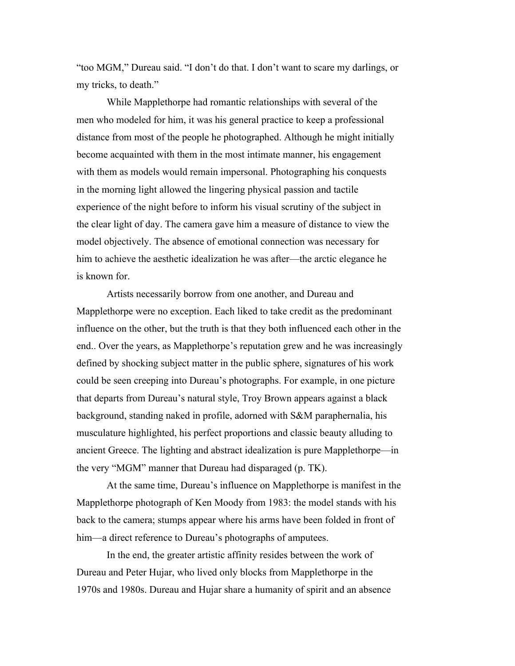"too MGM," Dureau said. "I don't do that. I don't want to scare my darlings, or my tricks, to death."

While Mapplethorpe had romantic relationships with several of the men who modeled for him, it was his general practice to keep a professional distance from most of the people he photographed. Although he might initially become acquainted with them in the most intimate manner, his engagement with them as models would remain impersonal. Photographing his conquests in the morning light allowed the lingering physical passion and tactile experience of the night before to inform his visual scrutiny of the subject in the clear light of day. The camera gave him a measure of distance to view the model objectively. The absence of emotional connection was necessary for him to achieve the aesthetic idealization he was after—the arctic elegance he is known for.

Artists necessarily borrow from one another, and Dureau and Mapplethorpe were no exception. Each liked to take credit as the predominant influence on the other, but the truth is that they both influenced each other in the end.. Over the years, as Mapplethorpe's reputation grew and he was increasingly defined by shocking subject matter in the public sphere, signatures of his work could be seen creeping into Dureau's photographs. For example, in one picture that departs from Dureau's natural style, Troy Brown appears against a black background, standing naked in profile, adorned with S&M paraphernalia, his musculature highlighted, his perfect proportions and classic beauty alluding to ancient Greece. The lighting and abstract idealization is pure Mapplethorpe—in the very "MGM" manner that Dureau had disparaged (p. TK).

At the same time, Dureau's influence on Mapplethorpe is manifest in the Mapplethorpe photograph of Ken Moody from 1983: the model stands with his back to the camera; stumps appear where his arms have been folded in front of him—a direct reference to Dureau's photographs of amputees.

In the end, the greater artistic affinity resides between the work of Dureau and Peter Hujar, who lived only blocks from Mapplethorpe in the 1970s and 1980s. Dureau and Hujar share a humanity of spirit and an absence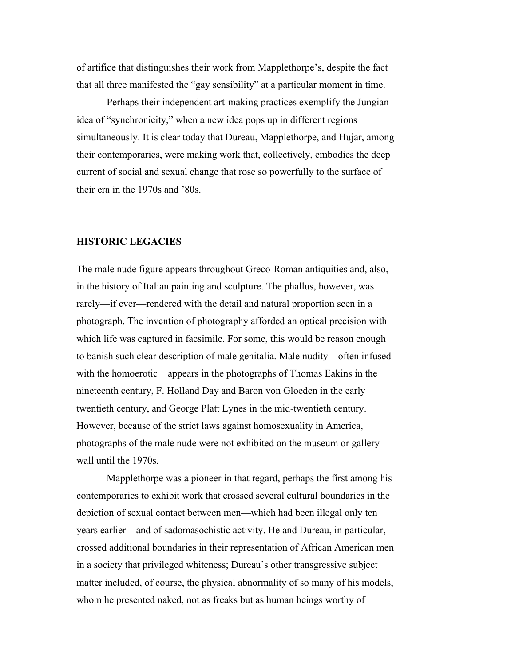of artifice that distinguishes their work from Mapplethorpe's, despite the fact that all three manifested the "gay sensibility" at a particular moment in time.

Perhaps their independent art-making practices exemplify the Jungian idea of "synchronicity," when a new idea pops up in different regions simultaneously. It is clear today that Dureau, Mapplethorpe, and Hujar, among their contemporaries, were making work that, collectively, embodies the deep current of social and sexual change that rose so powerfully to the surface of their era in the 1970s and '80s.

## **HISTORIC LEGACIES**

The male nude figure appears throughout Greco-Roman antiquities and, also, in the history of Italian painting and sculpture. The phallus, however, was rarely—if ever—rendered with the detail and natural proportion seen in a photograph. The invention of photography afforded an optical precision with which life was captured in facsimile. For some, this would be reason enough to banish such clear description of male genitalia. Male nudity—often infused with the homoerotic—appears in the photographs of Thomas Eakins in the nineteenth century, F. Holland Day and Baron von Gloeden in the early twentieth century, and George Platt Lynes in the mid-twentieth century. However, because of the strict laws against homosexuality in America, photographs of the male nude were not exhibited on the museum or gallery wall until the 1970s.

Mapplethorpe was a pioneer in that regard, perhaps the first among his contemporaries to exhibit work that crossed several cultural boundaries in the depiction of sexual contact between men—which had been illegal only ten years earlier—and of sadomasochistic activity. He and Dureau, in particular, crossed additional boundaries in their representation of African American men in a society that privileged whiteness; Dureau's other transgressive subject matter included, of course, the physical abnormality of so many of his models, whom he presented naked, not as freaks but as human beings worthy of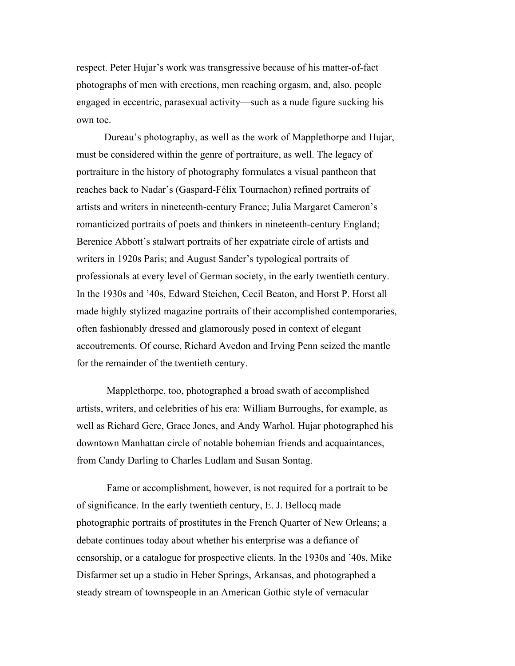respect. Peter Hujar's work was transgressive because of his matter-of-fact photographs of men with erections, men reaching orgasm, and, also, people engaged in eccentric, parasexual activity—such as a nude figure sucking his own toe.

Dureau's photography, as well as the work of Mapplethorpe and Hujar, must be considered within the genre of portraiture, as well. The legacy of portraiture in the history of photography formulates a visual pantheon that reaches back to Nadar's (Gaspard-Félix Tournachon) refined portraits of artists and writers in nineteenth-century France; Julia Margaret Cameron's romanticized portraits of poets and thinkers in nineteenth-century England; Berenice Abbott's stalwart portraits of her expatriate circle of artists and writers in 1920s Paris; and August Sander's typological portraits of professionals at every level of German society, in the early twentieth century. In the 1930s and '40s, Edward Steichen, Cecil Beaton, and Horst P. Horst all made highly stylized magazine portraits of their accomplished contemporaries, often fashionably dressed and glamorously posed in context of elegant accoutrements. Of course, Richard Avedon and Irving Penn seized the mantle for the remainder of the twentieth century.

Mapplethorpe, too, photographed a broad swath of accomplished artists, writers, and celebrities of his era: William Burroughs, for example, as well as Richard Gere, Grace Jones, and Andy Warhol. Hujar photographed his downtown Manhattan circle of notable bohemian friends and acquaintances, from Candy Darling to Charles Ludlam and Susan Sontag.

Fame or accomplishment, however, is not required for a portrait to be of significance. In the early twentieth century, E. J. Bellocq made photographic portraits of prostitutes in the French Quarter of New Orleans; a debate continues today about whether his enterprise was a defiance of censorship, or a catalogue for prospective clients. In the 1930s and '40s, Mike Disfarmer set up a studio in Heber Springs, Arkansas, and photographed a steady stream of townspeople in an American Gothic style of vernacular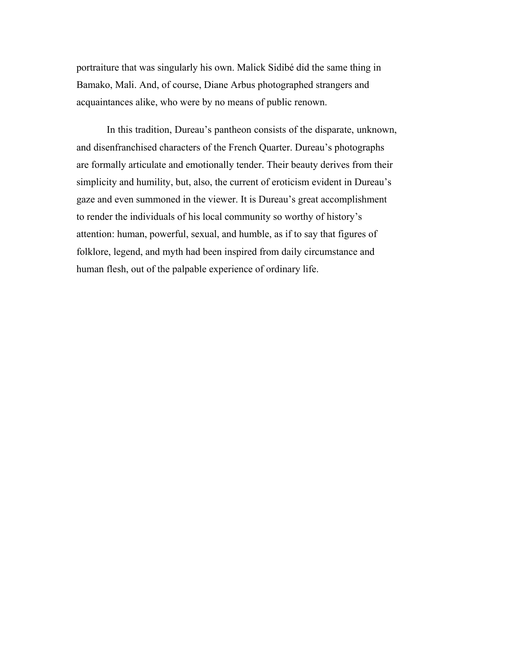portraiture that was singularly his own. Malick Sidibé did the same thing in Bamako, Mali. And, of course, Diane Arbus photographed strangers and acquaintances alike, who were by no means of public renown.

In this tradition, Dureau's pantheon consists of the disparate, unknown, and disenfranchised characters of the French Quarter. Dureau's photographs are formally articulate and emotionally tender. Their beauty derives from their simplicity and humility, but, also, the current of eroticism evident in Dureau's gaze and even summoned in the viewer. It is Dureau's great accomplishment to render the individuals of his local community so worthy of history's attention: human, powerful, sexual, and humble, as if to say that figures of folklore, legend, and myth had been inspired from daily circumstance and human flesh, out of the palpable experience of ordinary life.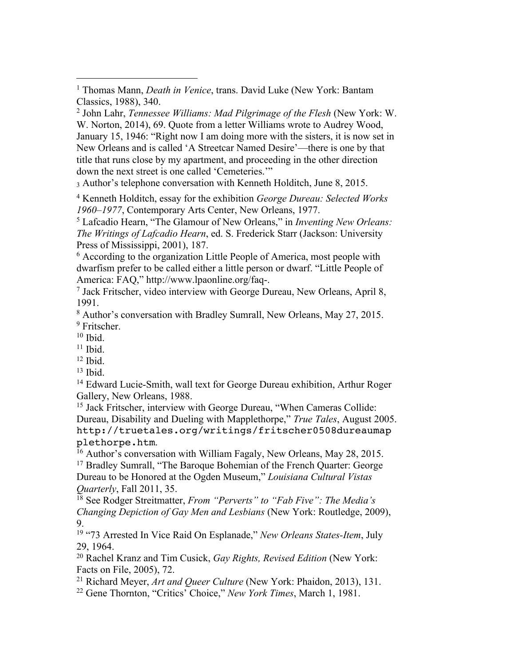<sup>2</sup> John Lahr, *Tennessee Williams: Mad Pilgrimage of the Flesh* (New York: W. W. Norton, 2014), 69. Quote from a letter Williams wrote to Audrey Wood, January 15, 1946: "Right now I am doing more with the sisters, it is now set in New Orleans and is called 'A Streetcar Named Desire'—there is one by that title that runs close by my apartment, and proceeding in the other direction down the next street is one called 'Cemeteries.'"

<sup>3</sup> Author's telephone conversation with Kenneth Holditch, June 8, 2015.

<sup>4</sup> Kenneth Holditch, essay for the exhibition *George Dureau: Selected Works 1960–1977*, Contemporary Arts Center, New Orleans, 1977.

<sup>5</sup> Lafcadio Hearn, "The Glamour of New Orleans," in *Inventing New Orleans: The Writings of Lafcadio Hearn*, ed. S. Frederick Starr (Jackson: University Press of Mississippi, 2001), 187.

<sup>6</sup> According to the organization Little People of America, most people with dwarfism prefer to be called either a little person or dwarf. "Little People of America: FAQ," http://www.lpaonline.org/faq-.

<sup>7</sup> Jack Fritscher, video interview with George Dureau, New Orleans, April 8, 1991.

<sup>8</sup> Author's conversation with Bradley Sumrall, New Orleans, May 27, 2015. <sup>9</sup> Fritscher.

 $10$  Ibid.

 $11$  Ibid.

 $12$  Ibid.

 $13$  Ibid.

<sup>14</sup> Edward Lucie-Smith, wall text for George Dureau exhibition, Arthur Roger Gallery, New Orleans, 1988.

<sup>15</sup> Jack Fritscher, interview with George Dureau, "When Cameras Collide: Dureau, Disability and Dueling with Mapplethorpe," *True Tales*, August 2005. http://truetales.org/writings/fritscher0508dureaumap plethorpe.htm.

<sup>16</sup> Author's conversation with William Fagaly, New Orleans, May 28, 2015. <sup>17</sup> Bradley Sumrall, "The Baroque Bohemian of the French Quarter: George Dureau to be Honored at the Ogden Museum," *Louisiana Cultural Vistas Quarterly*, Fall 2011, 35.

<sup>18</sup> See Rodger Streitmatter, *From "Perverts" to "Fab Five": The Media's Changing Depiction of Gay Men and Lesbians* (New York: Routledge, 2009), 9.

<sup>19</sup> "73 Arrested In Vice Raid On Esplanade," *New Orleans States-Item*, July 29, 1964.

<sup>20</sup> Rachel Kranz and Tim Cusick, *Gay Rights, Revised Edition* (New York: Facts on File, 2005), 72.

<sup>21</sup> Richard Meyer, *Art and Queer Culture* (New York: Phaidon, 2013), 131.

<sup>22</sup> Gene Thornton, "Critics' Choice," *New York Times*, March 1, 1981.

<sup>1</sup> Thomas Mann, *Death in Venice*, trans. David Luke (New York: Bantam Classics, 1988), 340.